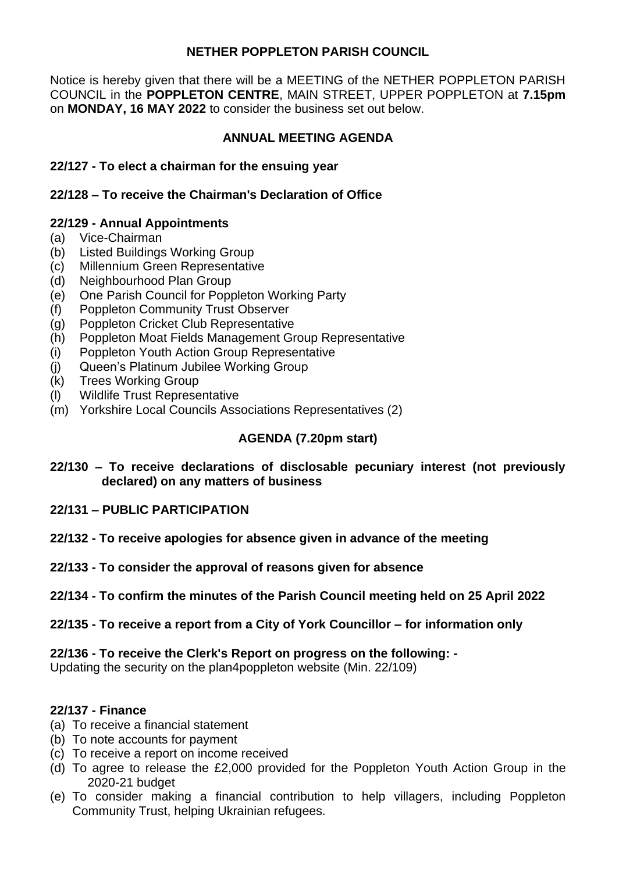### **NETHER POPPLETON PARISH COUNCIL**

Notice is hereby given that there will be a MEETING of the NETHER POPPLETON PARISH COUNCIL in the **POPPLETON CENTRE**, MAIN STREET, UPPER POPPLETON at **7.15pm**  on **MONDAY, 16 MAY 2022** to consider the business set out below.

## **ANNUAL MEETING AGENDA**

### **22/127 - To elect a chairman for the ensuing year**

### **22/128 – To receive the Chairman's Declaration of Office**

### **22/129 - Annual Appointments**

- (a) Vice-Chairman
- (b) Listed Buildings Working Group
- (c) Millennium Green Representative
- (d) Neighbourhood Plan Group
- (e) One Parish Council for Poppleton Working Party
- (f) Poppleton Community Trust Observer
- (g) Poppleton Cricket Club Representative
- (h) Poppleton Moat Fields Management Group Representative
- (i) Poppleton Youth Action Group Representative
- (j) Queen's Platinum Jubilee Working Group
- (k) Trees Working Group
- (l) Wildlife Trust Representative
- (m) Yorkshire Local Councils Associations Representatives (2)

# **AGENDA (7.20pm start)**

- **22/130 – To receive declarations of disclosable pecuniary interest (not previously declared) on any matters of business**
- **22/131 – PUBLIC PARTICIPATION**
- **22/132 - To receive apologies for absence given in advance of the meeting**
- **22/133 - To consider the approval of reasons given for absence**

## **22/134 - To confirm the minutes of the Parish Council meeting held on 25 April 2022**

**22/135 - To receive a report from a City of York Councillor – for information only**

**22/136 - To receive the Clerk's Report on progress on the following: -** Updating the security on the plan4poppleton website (Min. 22/109)

#### **22/137 - Finance**

- (a) To receive a financial statement
- (b) To note accounts for payment
- (c) To receive a report on income received
- (d) To agree to release the £2,000 provided for the Poppleton Youth Action Group in the 2020-21 budget
- (e) To consider making a financial contribution to help villagers, including Poppleton Community Trust, helping Ukrainian refugees.